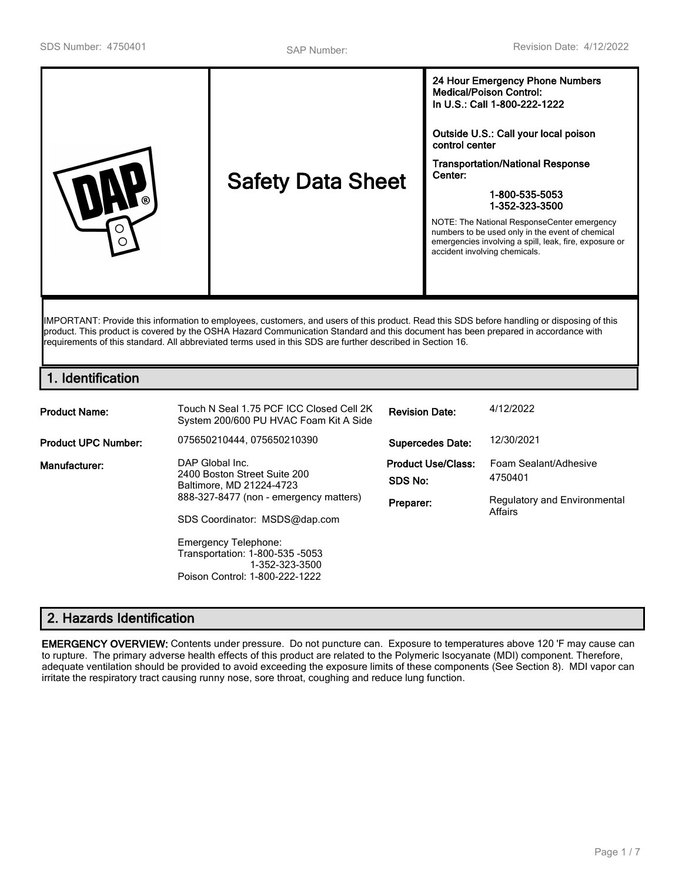|  | ര | <b>Safety Data Sheet</b> | 24 Hour Emergency Phone Numbers<br><b>Medical/Poison Control:</b><br>In U.S.: Call 1-800-222-1222<br>Outside U.S.: Call your local poison<br>control center<br><b>Transportation/National Response</b><br>Center:<br>1-800-535-5053<br>1-352-323-3500<br>NOTE: The National ResponseCenter emergency<br>numbers to be used only in the event of chemical<br>emergencies involving a spill, leak, fire, exposure or<br>accident involving chemicals. |
|--|---|--------------------------|-----------------------------------------------------------------------------------------------------------------------------------------------------------------------------------------------------------------------------------------------------------------------------------------------------------------------------------------------------------------------------------------------------------------------------------------------------|
|--|---|--------------------------|-----------------------------------------------------------------------------------------------------------------------------------------------------------------------------------------------------------------------------------------------------------------------------------------------------------------------------------------------------------------------------------------------------------------------------------------------------|

product. This product is covered by the OSHA Hazard Communication Standard and this document has been prepared in accordance with requirements of this standard. All abbreviated terms used in this SDS are further described in Section 16.

# **1. Identification**

| <b>Product Name:</b>       | Touch N Seal 1.75 PCF ICC Closed Cell 2K<br>System 200/600 PU HVAC Foam Kit A Side                                                           | <b>Revision Date:</b>                             | 4/12/2022                                                                   |
|----------------------------|----------------------------------------------------------------------------------------------------------------------------------------------|---------------------------------------------------|-----------------------------------------------------------------------------|
| <b>Product UPC Number:</b> | 075650210444, 075650210390                                                                                                                   | <b>Supercedes Date:</b>                           | 12/30/2021                                                                  |
| Manufacturer:              | DAP Global Inc.<br>2400 Boston Street Suite 200<br>Baltimore, MD 21224-4723<br>888-327-8477 (non - emergency matters)                        | <b>Product Use/Class:</b><br>SDS No:<br>Preparer: | Foam Sealant/Adhesive<br>4750401<br>Regulatory and Environmental<br>Affairs |
|                            | SDS Coordinator: MSDS@dap.com<br>Emergency Telephone:<br>Transportation: 1-800-535 -5053<br>1-352-323-3500<br>Poison Control: 1-800-222-1222 |                                                   |                                                                             |

# **2. Hazards Identification**

**EMERGENCY OVERVIEW:** Contents under pressure. Do not puncture can. Exposure to temperatures above 120 'F may cause can to rupture. The primary adverse health effects of this product are related to the Polymeric Isocyanate (MDI) component. Therefore, adequate ventilation should be provided to avoid exceeding the exposure limits of these components (See Section 8). MDI vapor can irritate the respiratory tract causing runny nose, sore throat, coughing and reduce lung function.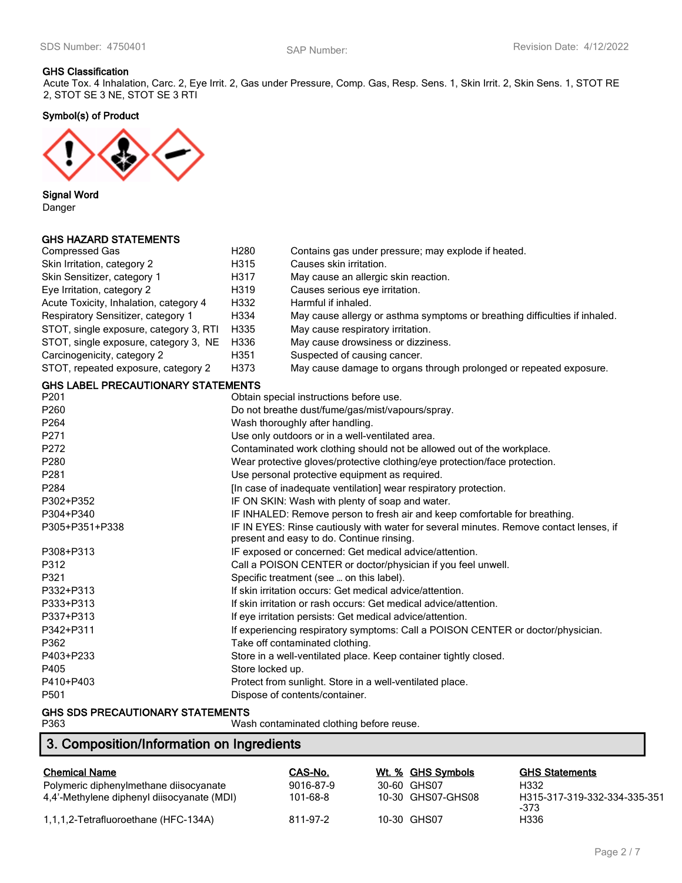#### **GHS Classification**

Acute Tox. 4 Inhalation, Carc. 2, Eye Irrit. 2, Gas under Pressure, Comp. Gas, Resp. Sens. 1, Skin Irrit. 2, Skin Sens. 1, STOT RE 2, STOT SE 3 NE, STOT SE 3 RTI

**Symbol(s) of Product**



**Signal Word** Danger

### **GHS HAZARD STATEMENTS**

| <b>Compressed Gas</b>                     | H <sub>280</sub>                                                 | Contains gas under pressure; may explode if heated.                                                                                 |  |
|-------------------------------------------|------------------------------------------------------------------|-------------------------------------------------------------------------------------------------------------------------------------|--|
| Skin Irritation, category 2               | H315                                                             | Causes skin irritation.                                                                                                             |  |
| Skin Sensitizer, category 1               | H317                                                             | May cause an allergic skin reaction.                                                                                                |  |
| Eye Irritation, category 2                | H319                                                             | Causes serious eye irritation.                                                                                                      |  |
| Acute Toxicity, Inhalation, category 4    | H332                                                             | Harmful if inhaled.                                                                                                                 |  |
| Respiratory Sensitizer, category 1        | H334                                                             | May cause allergy or asthma symptoms or breathing difficulties if inhaled.                                                          |  |
| STOT, single exposure, category 3, RTI    | H335                                                             | May cause respiratory irritation.                                                                                                   |  |
| STOT, single exposure, category 3, NE     | H336                                                             | May cause drowsiness or dizziness.                                                                                                  |  |
| Carcinogenicity, category 2               | H351                                                             | Suspected of causing cancer.                                                                                                        |  |
| STOT, repeated exposure, category 2       | H373                                                             | May cause damage to organs through prolonged or repeated exposure.                                                                  |  |
| <b>GHS LABEL PRECAUTIONARY STATEMENTS</b> |                                                                  |                                                                                                                                     |  |
| P201                                      |                                                                  | Obtain special instructions before use.                                                                                             |  |
| P260                                      |                                                                  | Do not breathe dust/fume/gas/mist/vapours/spray.                                                                                    |  |
| P264                                      |                                                                  | Wash thoroughly after handling.                                                                                                     |  |
| P271                                      |                                                                  | Use only outdoors or in a well-ventilated area.                                                                                     |  |
| P272                                      |                                                                  | Contaminated work clothing should not be allowed out of the workplace.                                                              |  |
| P280                                      |                                                                  | Wear protective gloves/protective clothing/eye protection/face protection.                                                          |  |
| P281                                      | Use personal protective equipment as required.                   |                                                                                                                                     |  |
| P284                                      | [In case of inadequate ventilation] wear respiratory protection. |                                                                                                                                     |  |
| P302+P352                                 |                                                                  | IF ON SKIN: Wash with plenty of soap and water.                                                                                     |  |
| P304+P340                                 |                                                                  | IF INHALED: Remove person to fresh air and keep comfortable for breathing.                                                          |  |
| P305+P351+P338                            |                                                                  | IF IN EYES: Rinse cautiously with water for several minutes. Remove contact lenses, if<br>present and easy to do. Continue rinsing. |  |
| P308+P313                                 |                                                                  | IF exposed or concerned: Get medical advice/attention.                                                                              |  |
| P312                                      |                                                                  | Call a POISON CENTER or doctor/physician if you feel unwell.                                                                        |  |
| P321                                      |                                                                  | Specific treatment (see  on this label).                                                                                            |  |
| P332+P313                                 |                                                                  | If skin irritation occurs: Get medical advice/attention.                                                                            |  |
| P333+P313                                 |                                                                  | If skin irritation or rash occurs: Get medical advice/attention.                                                                    |  |
| P337+P313                                 |                                                                  | If eye irritation persists: Get medical advice/attention.                                                                           |  |
| P342+P311                                 |                                                                  | If experiencing respiratory symptoms: Call a POISON CENTER or doctor/physician.                                                     |  |
| P362                                      |                                                                  | Take off contaminated clothing.                                                                                                     |  |
| P403+P233                                 |                                                                  | Store in a well-ventilated place. Keep container tightly closed.                                                                    |  |
| P405                                      | Store locked up.                                                 |                                                                                                                                     |  |
| P410+P403                                 |                                                                  | Protect from sunlight. Store in a well-ventilated place.                                                                            |  |
| P501                                      |                                                                  | Dispose of contents/container.                                                                                                      |  |
| OUR CDC PREOLUTIONADY CTATELIENTS         |                                                                  |                                                                                                                                     |  |

# **GHS SDS PRECAUTIONARY STATEMENTS**

| Wash contaminated clothing before reuse. |
|------------------------------------------|
|                                          |

# **3. Composition/Information on Ingredients**

| <b>Chemical Name</b>                       | CAS-No.   | Wt. % GHS Symbols | <b>GHS Statements</b>                |
|--------------------------------------------|-----------|-------------------|--------------------------------------|
| Polymeric diphenylmethane diisocyanate     | 9016-87-9 | 30-60 GHS07       | H332                                 |
| 4.4'-Methylene diphenyl diisocyanate (MDI) | 101-68-8  | 10-30 GHS07-GHS08 | H315-317-319-332-334-335-351<br>-373 |
| 1,1,1,2-Tetrafluoroethane (HFC-134A)       | 811-97-2  | 10-30 GHS07       | H336                                 |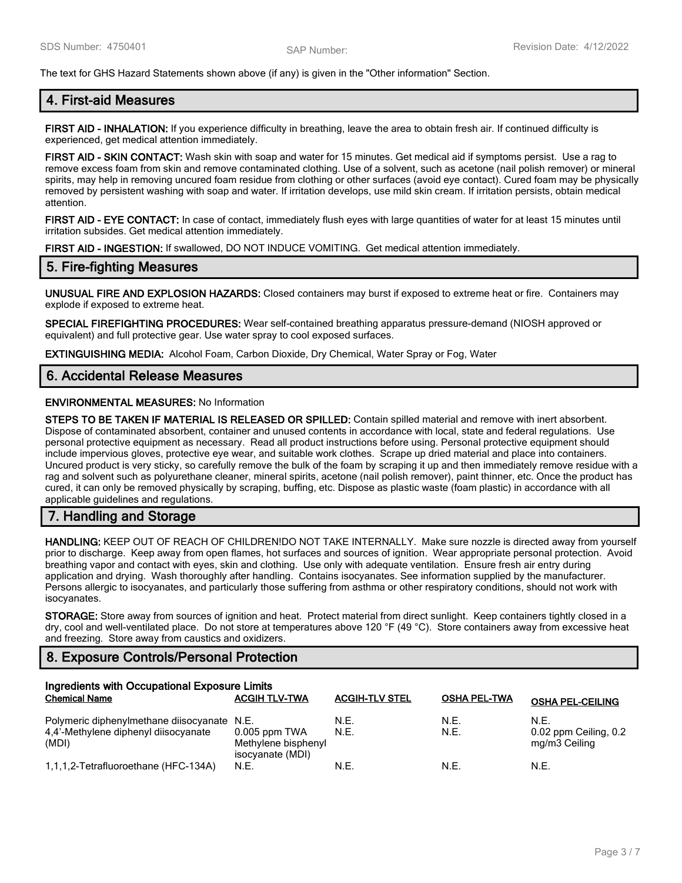The text for GHS Hazard Statements shown above (if any) is given in the "Other information" Section.

# **4. First-aid Measures**

**FIRST AID - INHALATION:** If you experience difficulty in breathing, leave the area to obtain fresh air. If continued difficulty is experienced, get medical attention immediately.

**FIRST AID - SKIN CONTACT:** Wash skin with soap and water for 15 minutes. Get medical aid if symptoms persist. Use a rag to remove excess foam from skin and remove contaminated clothing. Use of a solvent, such as acetone (nail polish remover) or mineral spirits, may help in removing uncured foam residue from clothing or other surfaces (avoid eye contact). Cured foam may be physically removed by persistent washing with soap and water. If irritation develops, use mild skin cream. If irritation persists, obtain medical attention.

**FIRST AID - EYE CONTACT:** In case of contact, immediately flush eyes with large quantities of water for at least 15 minutes until irritation subsides. Get medical attention immediately.

**FIRST AID - INGESTION:** If swallowed, DO NOT INDUCE VOMITING. Get medical attention immediately.

# **5. Fire-fighting Measures**

**UNUSUAL FIRE AND EXPLOSION HAZARDS:** Closed containers may burst if exposed to extreme heat or fire. Containers may explode if exposed to extreme heat.

**SPECIAL FIREFIGHTING PROCEDURES:** Wear self-contained breathing apparatus pressure-demand (NIOSH approved or equivalent) and full protective gear. Use water spray to cool exposed surfaces.

**EXTINGUISHING MEDIA:** Alcohol Foam, Carbon Dioxide, Dry Chemical, Water Spray or Fog, Water

### **6. Accidental Release Measures**

#### **ENVIRONMENTAL MEASURES:** No Information

**STEPS TO BE TAKEN IF MATERIAL IS RELEASED OR SPILLED:** Contain spilled material and remove with inert absorbent. Dispose of contaminated absorbent, container and unused contents in accordance with local, state and federal regulations. Use personal protective equipment as necessary. Read all product instructions before using. Personal protective equipment should include impervious gloves, protective eye wear, and suitable work clothes. Scrape up dried material and place into containers. Uncured product is very sticky, so carefully remove the bulk of the foam by scraping it up and then immediately remove residue with a rag and solvent such as polyurethane cleaner, mineral spirits, acetone (nail polish remover), paint thinner, etc. Once the product has cured, it can only be removed physically by scraping, buffing, etc. Dispose as plastic waste (foam plastic) in accordance with all applicable guidelines and regulations.

# **7. Handling and Storage**

**HANDLING:** KEEP OUT OF REACH OF CHILDREN!DO NOT TAKE INTERNALLY. Make sure nozzle is directed away from yourself prior to discharge. Keep away from open flames, hot surfaces and sources of ignition. Wear appropriate personal protection. Avoid breathing vapor and contact with eyes, skin and clothing. Use only with adequate ventilation. Ensure fresh air entry during application and drying. Wash thoroughly after handling. Contains isocyanates. See information supplied by the manufacturer. Persons allergic to isocyanates, and particularly those suffering from asthma or other respiratory conditions, should not work with isocyanates.

**STORAGE:** Store away from sources of ignition and heat. Protect material from direct sunlight. Keep containers tightly closed in a dry, cool and well-ventilated place. Do not store at temperatures above 120 °F (49 °C). Store containers away from excessive heat and freezing. Store away from caustics and oxidizers.

# **8. Exposure Controls/Personal Protection**

| Ingredients with Occupational Exposure Limits                                                |                                                            |                       |                     |                                                |
|----------------------------------------------------------------------------------------------|------------------------------------------------------------|-----------------------|---------------------|------------------------------------------------|
| <b>Chemical Name</b>                                                                         | <b>ACGIH TLV-TWA</b>                                       | <b>ACGIH-TLV STEL</b> | <b>OSHA PEL-TWA</b> | <b>OSHA PEL-CEILING</b>                        |
| Polymeric diphenylmethane diisocyanate N.E.<br>4,4'-Methylene diphenyl diisocyanate<br>(MDI) | $0.005$ ppm TWA<br>Methylene bisphenyl<br>isocyanate (MDI) | N.E.<br>N.E.          | N.E.<br>N.E.        | N.E.<br>0.02 ppm Ceiling, 0.2<br>mg/m3 Ceiling |
| 1,1,1,2-Tetrafluoroethane (HFC-134A)                                                         | N.E.                                                       | N.E.                  | N.E.                | N.E.                                           |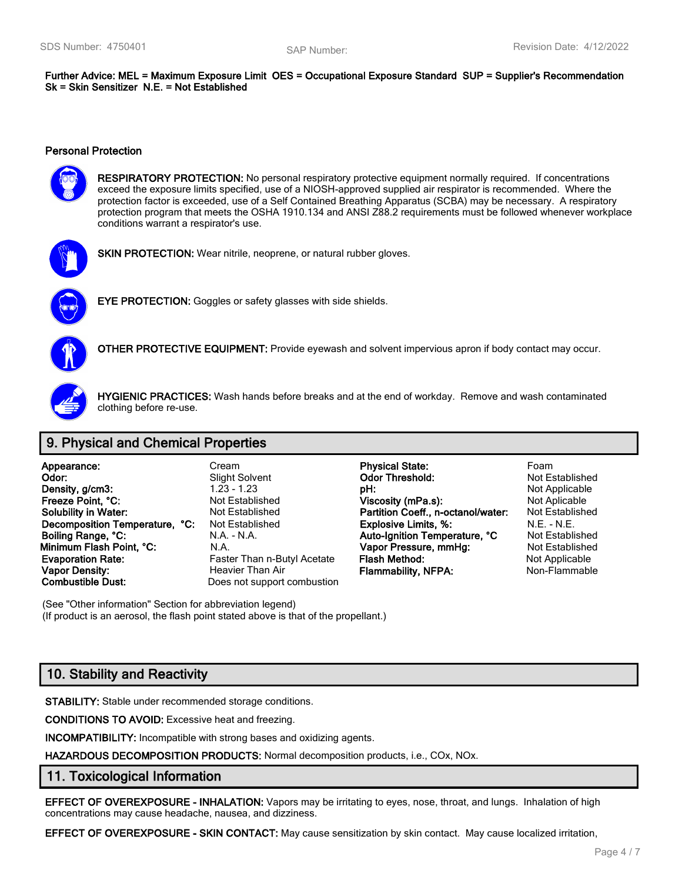**Further Advice: MEL = Maximum Exposure Limit OES = Occupational Exposure Standard SUP = Supplier's Recommendation Sk = Skin Sensitizer N.E. = Not Established**

#### **Personal Protection**



**RESPIRATORY PROTECTION:** No personal respiratory protective equipment normally required. If concentrations exceed the exposure limits specified, use of a NIOSH-approved supplied air respirator is recommended. Where the protection factor is exceeded, use of a Self Contained Breathing Apparatus (SCBA) may be necessary. A respiratory protection program that meets the OSHA 1910.134 and ANSI Z88.2 requirements must be followed whenever workplace conditions warrant a respirator's use.



**SKIN PROTECTION:** Wear nitrile, neoprene, or natural rubber gloves.



**EYE PROTECTION:** Goggles or safety glasses with side shields.



**OTHER PROTECTIVE EQUIPMENT:** Provide eyewash and solvent impervious apron if body contact may occur.



**HYGIENIC PRACTICES:** Wash hands before breaks and at the end of workday. Remove and wash contaminated clothing before re-use.

# **9. Physical and Chemical Properties**

| Appearance:                    | Cream                        | <b>Physical State:</b>             | Foam                  |
|--------------------------------|------------------------------|------------------------------------|-----------------------|
| Odor:                          | <b>Slight Solvent</b>        | <b>Odor Threshold:</b>             | Not Establishe        |
| Density, g/cm3:                | $1.23 - 1.23$                | pH:                                | Not Applicable        |
| Freeze Point, °C:              | Not Established              | Viscosity (mPa.s):                 | Not Aplicable         |
| <b>Solubility in Water:</b>    | Not Established              | Partition Coeff., n-octanol/water: | <b>Not Establishe</b> |
| Decomposition Temperature, °C: | <b>Not Established</b>       | <b>Explosive Limits, %:</b>        | $N.E. - N.E.$         |
| Boiling Range, °C:             | N.A. - N.A.                  | Auto-Ignition Temperature, °C      | <b>Not Establishe</b> |
| Minimum Flash Point, °C:       | N.A.                         | Vapor Pressure, mmHg:              | Not Establishe        |
| <b>Evaporation Rate:</b>       | Faster Than n-Butyl Acetate  | <b>Flash Method:</b>               | Not Applicable        |
| <b>Vapor Density:</b>          | Heavier Than Air             | <b>Flammability, NFPA:</b>         | Non-Flammabl          |
| Combustible Dust:              | Does not sunnort combustion. |                                    |                       |

(See "Other information" Section for abbreviation legend) (If product is an aerosol, the flash point stated above is that of the propellant.)

# **10. Stability and Reactivity**

**STABILITY:** Stable under recommended storage conditions.

**CONDITIONS TO AVOID:** Excessive heat and freezing.

**INCOMPATIBILITY:** Incompatible with strong bases and oxidizing agents.

**HAZARDOUS DECOMPOSITION PRODUCTS:** Normal decomposition products, i.e., COx, NOx.

# **11. Toxicological Information**

**EFFECT OF OVEREXPOSURE - INHALATION:** Vapors may be irritating to eyes, nose, throat, and lungs. Inhalation of high concentrations may cause headache, nausea, and dizziness.

**EFFECT OF OVEREXPOSURE - SKIN CONTACT:** May cause sensitization by skin contact. May cause localized irritation,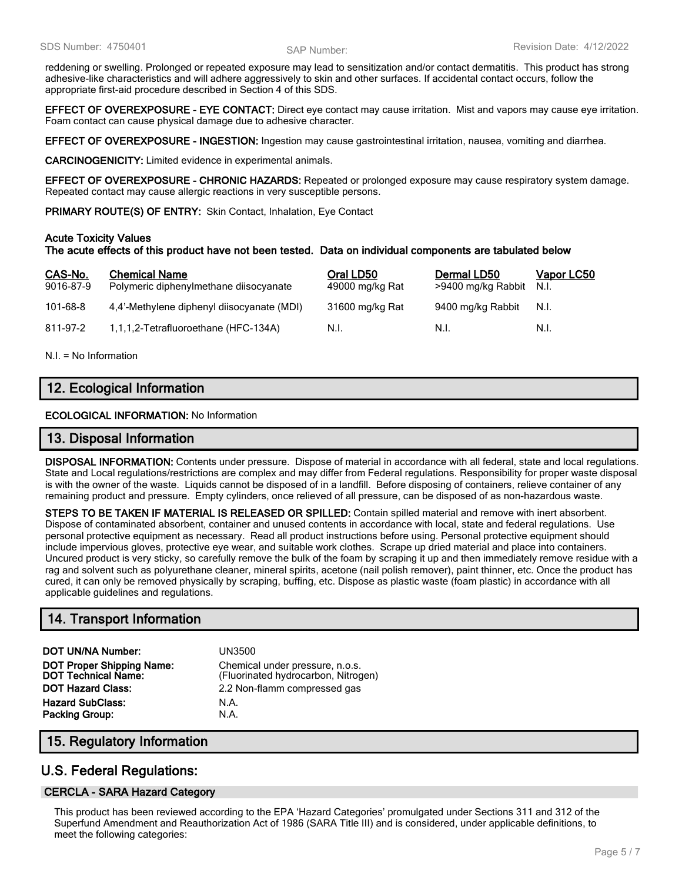reddening or swelling. Prolonged or repeated exposure may lead to sensitization and/or contact dermatitis. This product has strong adhesive-like characteristics and will adhere aggressively to skin and other surfaces. If accidental contact occurs, follow the appropriate first-aid procedure described in Section 4 of this SDS.

**EFFECT OF OVEREXPOSURE - EYE CONTACT:** Direct eye contact may cause irritation. Mist and vapors may cause eye irritation. Foam contact can cause physical damage due to adhesive character.

**EFFECT OF OVEREXPOSURE - INGESTION:** Ingestion may cause gastrointestinal irritation, nausea, vomiting and diarrhea.

**CARCINOGENICITY:** Limited evidence in experimental animals.

**EFFECT OF OVEREXPOSURE - CHRONIC HAZARDS:** Repeated or prolonged exposure may cause respiratory system damage. Repeated contact may cause allergic reactions in very susceptible persons.

**PRIMARY ROUTE(S) OF ENTRY:** Skin Contact, Inhalation, Eye Contact

#### **Acute Toxicity Values**

#### **The acute effects of this product have not been tested. Data on individual components are tabulated below**

| CAS-No.<br>9016-87-9 | <b>Chemical Name</b><br>Polymeric diphenylmethane diisocyanate | Oral LD50<br>49000 mg/kg Rat | Dermal LD50<br>>9400 mg/kg Rabbit | <u>Vapor LC50</u><br>N.I. |
|----------------------|----------------------------------------------------------------|------------------------------|-----------------------------------|---------------------------|
| $101 - 68 - 8$       | 4,4'-Methylene diphenyl diisocyanate (MDI)                     | 31600 mg/kg Rat              | 9400 mg/kg Rabbit                 | N.I.                      |
| 811-97-2             | 1,1,1,2-Tetrafluoroethane (HFC-134A)                           | N.I.                         | - N.I.                            | N.I.                      |

N.I. = No Information

# **12. Ecological Information**

**ECOLOGICAL INFORMATION:** No Information

#### **13. Disposal Information**

**DISPOSAL INFORMATION:** Contents under pressure. Dispose of material in accordance with all federal, state and local regulations. State and Local regulations/restrictions are complex and may differ from Federal regulations. Responsibility for proper waste disposal is with the owner of the waste. Liquids cannot be disposed of in a landfill. Before disposing of containers, relieve container of any remaining product and pressure. Empty cylinders, once relieved of all pressure, can be disposed of as non-hazardous waste.

**STEPS TO BE TAKEN IF MATERIAL IS RELEASED OR SPILLED:** Contain spilled material and remove with inert absorbent. Dispose of contaminated absorbent, container and unused contents in accordance with local, state and federal regulations. Use personal protective equipment as necessary. Read all product instructions before using. Personal protective equipment should include impervious gloves, protective eye wear, and suitable work clothes. Scrape up dried material and place into containers. Uncured product is very sticky, so carefully remove the bulk of the foam by scraping it up and then immediately remove residue with a rag and solvent such as polyurethane cleaner, mineral spirits, acetone (nail polish remover), paint thinner, etc. Once the product has cured, it can only be removed physically by scraping, buffing, etc. Dispose as plastic waste (foam plastic) in accordance with all applicable guidelines and regulations.

# **14. Transport Information**

**DOT UN/NA Number:** UN3500 **DOT Proper Shipping Name:** Chemical under pressure, n.o.s.<br>**DOT Technical Name:** (Fluorinated hydrocarbon, Nitrog **DOT Hazard Class:** 2.2 Non-flamm compressed gas **Hazard SubClass:** N.A. **Packing Group:** N.A.

(Fluorinated hydrocarbon, Nitrogen)

# **15. Regulatory Information**

# **U.S. Federal Regulations:**

#### **CERCLA - SARA Hazard Category**

This product has been reviewed according to the EPA 'Hazard Categories' promulgated under Sections 311 and 312 of the Superfund Amendment and Reauthorization Act of 1986 (SARA Title III) and is considered, under applicable definitions, to meet the following categories: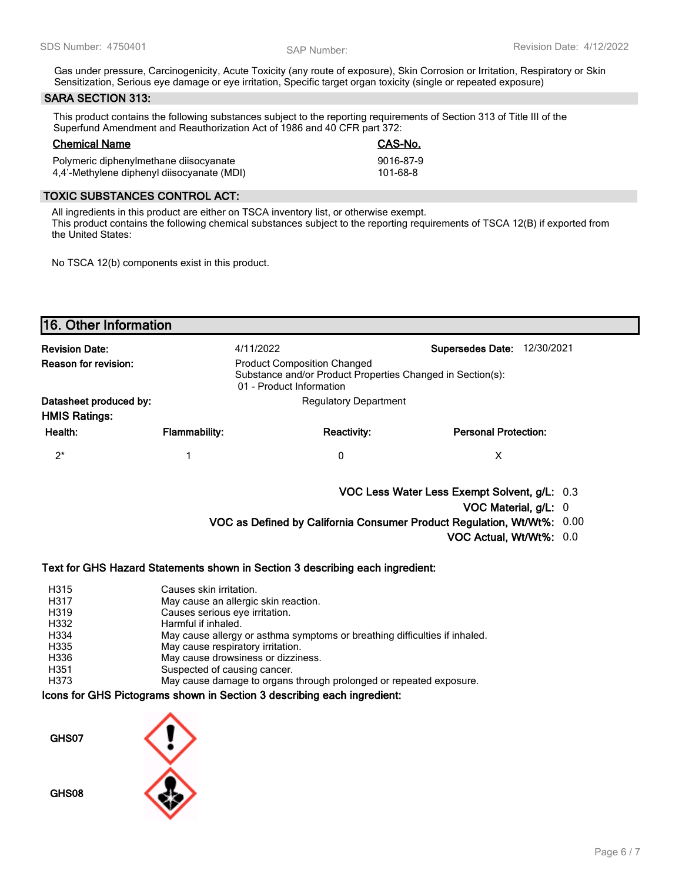Gas under pressure, Carcinogenicity, Acute Toxicity (any route of exposure), Skin Corrosion or Irritation, Respiratory or Skin Sensitization, Serious eye damage or eye irritation, Specific target organ toxicity (single or repeated exposure)

### **SARA SECTION 313:**

This product contains the following substances subject to the reporting requirements of Section 313 of Title III of the Superfund Amendment and Reauthorization Act of 1986 and 40 CFR part 372:

# **Chemical Name CAS-No.**

| ------------------                         | --------  |
|--------------------------------------------|-----------|
| Polymeric diphenylmethane diisocyanate     | 9016-87-9 |
| 4,4'-Methylene diphenyl diisocyanate (MDI) | 101-68-8  |

### **TOXIC SUBSTANCES CONTROL ACT:**

All ingredients in this product are either on TSCA inventory list, or otherwise exempt. This product contains the following chemical substances subject to the reporting requirements of TSCA 12(B) if exported from the United States:

No TSCA 12(b) components exist in this product.

| <b>Revision Date:</b>                          | 4/11/2022                                                                                                                    |                              | <b>Supersedes Date:</b><br>12/30/2021                                  |  |
|------------------------------------------------|------------------------------------------------------------------------------------------------------------------------------|------------------------------|------------------------------------------------------------------------|--|
| <b>Reason for revision:</b>                    | <b>Product Composition Changed</b><br>Substance and/or Product Properties Changed in Section(s):<br>01 - Product Information |                              |                                                                        |  |
| Datasheet produced by:<br><b>HMIS Ratings:</b> |                                                                                                                              | <b>Regulatory Department</b> |                                                                        |  |
| Health:                                        | <b>Flammability:</b>                                                                                                         | <b>Reactivity:</b>           | <b>Personal Protection:</b>                                            |  |
| $2^*$                                          |                                                                                                                              | 0                            | X                                                                      |  |
|                                                |                                                                                                                              |                              | VOC Less Water Less Exempt Solvent, g/L: 0.3                           |  |
|                                                |                                                                                                                              |                              | VOC Material, g/L: 0                                                   |  |
|                                                |                                                                                                                              |                              | VOC as Defined by California Consumer Product Regulation, Wt/Wt%: 0.00 |  |
|                                                |                                                                                                                              |                              | VOC Actual, Wt/Wt%: 0.0                                                |  |

| Causes skin irritation.                                                    |
|----------------------------------------------------------------------------|
| May cause an allergic skin reaction.                                       |
| Causes serious eve irritation.                                             |
| Harmful if inhaled.                                                        |
| May cause allergy or asthma symptoms or breathing difficulties if inhaled. |
| May cause respiratory irritation.                                          |
| May cause drowsiness or dizziness.                                         |
| Suspected of causing cancer.                                               |
| May cause damage to organs through prolonged or repeated exposure.         |
|                                                                            |

#### **Icons for GHS Pictograms shown in Section 3 describing each ingredient:**